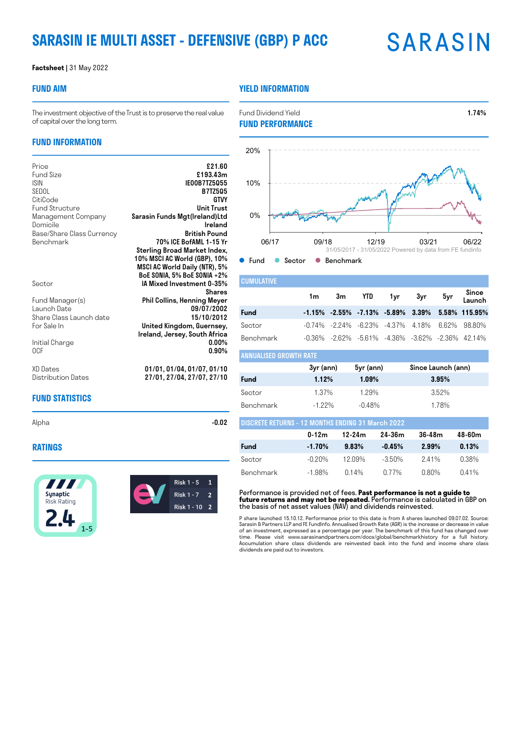# **SARASIN IE MULTI ASSET - DEFENSIVE (GBP) P ACC**

# **SARASIN**

#### **Factsheet |** 31 May 2022

#### **FUND AIM**

#### **YIELD INFORMATION**

**O** Fund C Sector C Benchmark

The investment objective of the Trust is to preserve the real value of capital over the long term.

### **FUND INFORMATION**

| Price                                                                                             | £21.60                                                                                                                                                                                               |
|---------------------------------------------------------------------------------------------------|------------------------------------------------------------------------------------------------------------------------------------------------------------------------------------------------------|
| <b>Fund Size</b>                                                                                  | £193.43m                                                                                                                                                                                             |
| <b>ISIN</b>                                                                                       | <b>IE00B7TZ5055</b>                                                                                                                                                                                  |
| SEDOL                                                                                             | <b>B7TZ505</b>                                                                                                                                                                                       |
| CitiCode                                                                                          | GTVY                                                                                                                                                                                                 |
| <b>Fund Structure</b>                                                                             | <b>Unit Trust</b>                                                                                                                                                                                    |
| Management Company                                                                                | Sarasin Funds Mgt(Ireland)Ltd                                                                                                                                                                        |
| Domicile                                                                                          | Ireland                                                                                                                                                                                              |
| Base/Share Class Currency                                                                         | <b>British Pound</b>                                                                                                                                                                                 |
| <b>Benchmark</b><br>Sector                                                                        | 70% ICE BofAML 1-15 Yr<br>Sterling Broad Market Index,<br>10% MSCI AC World (GBP), 10%<br>MSCI AC World Daily (NTR), 5%<br>BoE SONIA, 5% BoE SONIA +2%<br>IA Mixed Investment 0-35%<br><b>Shares</b> |
| Fund Manager(s)<br>Launch Date<br>Share Class Launch date<br>For Sale In<br>Initial Charge<br>0CF | <b>Phil Collins, Henning Meyer</b><br>09/07/2002<br>15/10/2012<br>United Kingdom, Guernsey,<br>Ireland, Jersey, South Africa<br>$0.00\%$<br>$0.90\%$                                                 |
| XD Dates                                                                                          | 01/01, 01/04, 01/07, 01/10                                                                                                                                                                           |
| Distribution Dates                                                                                | 27/01, 27/04, 27/07, 27/10                                                                                                                                                                           |

#### **FUND STATISTICS**

Alpha -**0.02** -**0.02** 

**RATINGS**







Fund Dividend Yield **1.74%** 

| <b>CUMULATIVE</b>    |    |    |                                                                    |     |     |       |                 |
|----------------------|----|----|--------------------------------------------------------------------|-----|-----|-------|-----------------|
|                      | 1m | 3m | <b>YTD</b>                                                         | 1yr | 3yr | 5yr   | Since<br>Launch |
| <b>Fund</b>          |    |    | $-1.15\%$ $-2.55\%$ $-7.13\%$ $-5.89\%$ $3.39\%$                   |     |     |       | 5.58% 115.95%   |
| Sector               |    |    | $-0.74\%$ $-2.24\%$ $-6.23\%$ $-4.37\%$ 4.18%                      |     |     | 6 62% | 9880%           |
| <b>Benchmark</b>     |    |    | $-0.36\%$ $-2.62\%$ $-5.61\%$ $-4.36\%$ $-3.62\%$ $-2.36\%$ 42.14% |     |     |       |                 |
| NUALISED GROWTH RATE |    |    |                                                                    |     |     |       |                 |

06/17 09/18 12/19 03/21 06/22

31/05/2017 - 31/05/2022 Powered by data from FE fundinfo

|           | 3yr (ann) | 5yr (ann) | Since Launch (ann) |
|-----------|-----------|-----------|--------------------|
| Fund      | 1.12%     | 1.09%     | 3.95%              |
| Sector    | 1.37%     | 1.29%     | 3.52%              |
| Benchmark | $-122\%$  | $-0.48%$  | 1.78%              |

| <b>DISCRETE RETURNS - 12 MONTHS ENDING 31 March 2022</b> |           |          |           |            |        |
|----------------------------------------------------------|-----------|----------|-----------|------------|--------|
|                                                          | $0 - 12m$ | 12-24m   | 24-36m    | $36 - 48m$ | 48-60m |
| <b>Fund</b>                                              | $-1.70\%$ | 9.83%    | $-0.45%$  | 2.99%      | 0.13%  |
| Sector                                                   | -0.20%    | 12 በዓ%   | $-3.50\%$ | 241%       | 0.38%  |
| Benchmark                                                | $-1.98%$  | $0.14\%$ | በ 77%     | በ ጸበ%      | 0.41%  |

Performance is provided net of fees. **Past performance is not a guide to future returns and may not be repeated.** Performance is calculated in GBP on the basis of net asset values (NAV) and dividends reinvested.

P share launched 15.10.12. Performance prior to this date is from A shares launched 09.07.02. Source:<br>Sarasin & Partners LLP and FE Fundlnfo. Annualised Growth Rate (AGR) is the increase or decrease in value<br>of an investme dividends are paid out to investors.